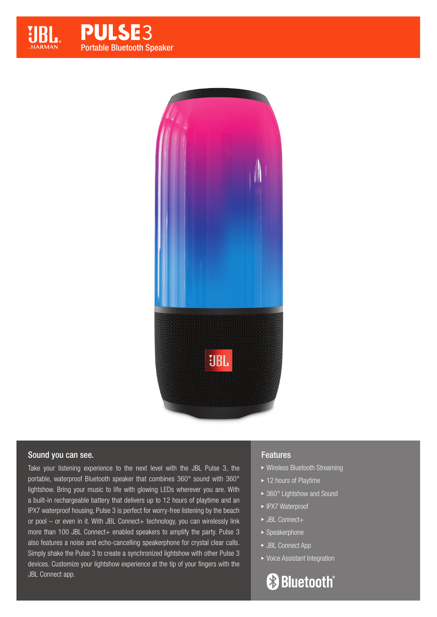

**PULSE3** Portable Bluetooth Speaker



### Sound you can see.

Take your listening experience to the next level with the JBL Pulse 3, the portable, waterproof Bluetooth speaker that combines 360° sound with 360° lightshow. Bring your music to life with glowing LEDs wherever you are. With a built-in rechargeable battery that delivers up to 12 hours of playtime and an IPX7 waterproof housing, Pulse 3 is perfect for worry-free listening by the beach or pool - or even in it. With JBL Connect+ technology, you can wirelessly link more than 100 JBL Connect+ enabled speakers to amplify the party. Pulse 3 also features a noise and echo-cancelling speakerphone for crystal clear calls. Simply shake the Pulse 3 to create a synchronized lightshow with other Pulse 3 devices. Customize your lightshow experience at the tip of your fingers with the JBL Connect app.

## Features

- Wireless Bluetooth Streaming
- ▶ 12 hours of Playtime
- ▶ 360° Lightshow and Sound
- ▶ IPX7 Waterproof
- ▶ JBL Connect+
- Speakerphone
- ▶ JBL Connect App
- ▶ Voice Assistant Integration

**& Bluetooth**